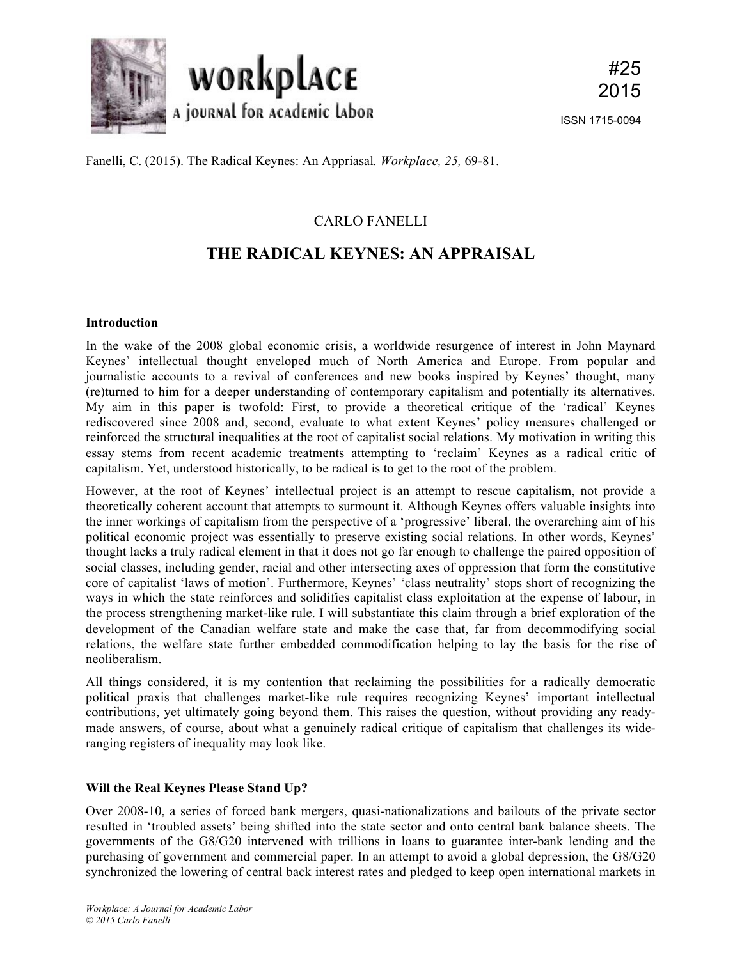

Fanelli, C. (2015). The Radical Keynes: An Appriasal*. Workplace, 25,* 69-81.

## CARLO FANELLI

# **THE RADICAL KEYNES: AN APPRAISAL**

## **Introduction**

In the wake of the 2008 global economic crisis, a worldwide resurgence of interest in John Maynard Keynes' intellectual thought enveloped much of North America and Europe. From popular and journalistic accounts to a revival of conferences and new books inspired by Keynes' thought, many (re)turned to him for a deeper understanding of contemporary capitalism and potentially its alternatives. My aim in this paper is twofold: First, to provide a theoretical critique of the 'radical' Keynes rediscovered since 2008 and, second, evaluate to what extent Keynes' policy measures challenged or reinforced the structural inequalities at the root of capitalist social relations. My motivation in writing this essay stems from recent academic treatments attempting to 'reclaim' Keynes as a radical critic of capitalism. Yet, understood historically, to be radical is to get to the root of the problem.

However, at the root of Keynes' intellectual project is an attempt to rescue capitalism, not provide a theoretically coherent account that attempts to surmount it. Although Keynes offers valuable insights into the inner workings of capitalism from the perspective of a 'progressive' liberal, the overarching aim of his political economic project was essentially to preserve existing social relations. In other words, Keynes' thought lacks a truly radical element in that it does not go far enough to challenge the paired opposition of social classes, including gender, racial and other intersecting axes of oppression that form the constitutive core of capitalist 'laws of motion'. Furthermore, Keynes' 'class neutrality' stops short of recognizing the ways in which the state reinforces and solidifies capitalist class exploitation at the expense of labour, in the process strengthening market-like rule. I will substantiate this claim through a brief exploration of the development of the Canadian welfare state and make the case that, far from decommodifying social relations, the welfare state further embedded commodification helping to lay the basis for the rise of neoliberalism.

All things considered, it is my contention that reclaiming the possibilities for a radically democratic political praxis that challenges market-like rule requires recognizing Keynes' important intellectual contributions, yet ultimately going beyond them. This raises the question, without providing any readymade answers, of course, about what a genuinely radical critique of capitalism that challenges its wideranging registers of inequality may look like.

## **Will the Real Keynes Please Stand Up?**

Over 2008-10, a series of forced bank mergers, quasi-nationalizations and bailouts of the private sector resulted in 'troubled assets' being shifted into the state sector and onto central bank balance sheets. The governments of the G8/G20 intervened with trillions in loans to guarantee inter-bank lending and the purchasing of government and commercial paper. In an attempt to avoid a global depression, the G8/G20 synchronized the lowering of central back interest rates and pledged to keep open international markets in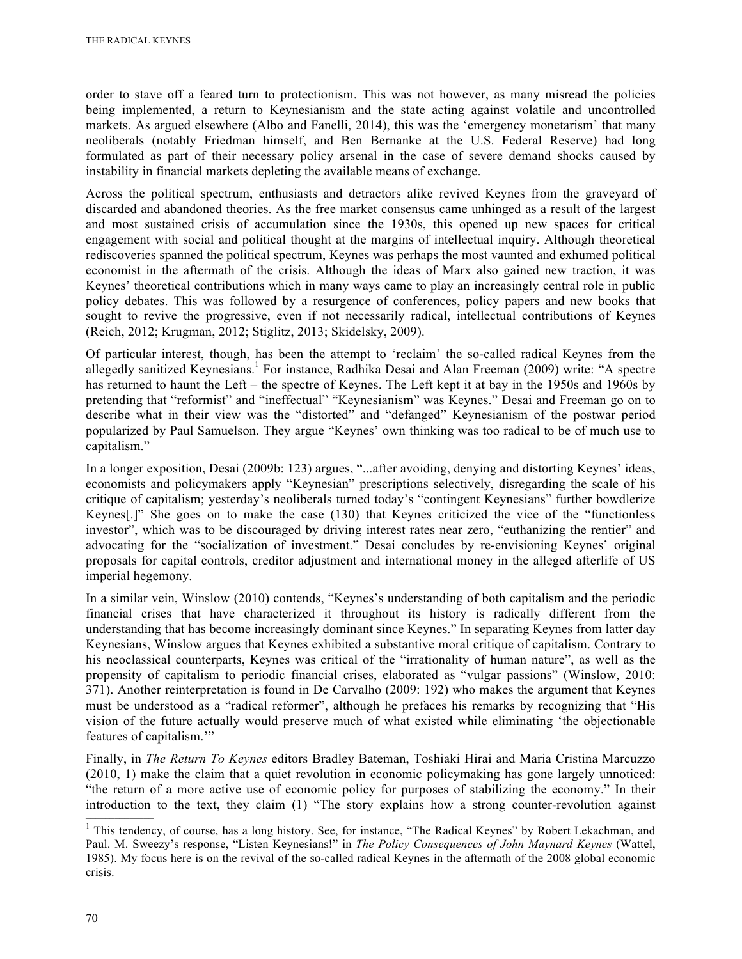order to stave off a feared turn to protectionism. This was not however, as many misread the policies being implemented, a return to Keynesianism and the state acting against volatile and uncontrolled markets. As argued elsewhere (Albo and Fanelli, 2014), this was the 'emergency monetarism' that many neoliberals (notably Friedman himself, and Ben Bernanke at the U.S. Federal Reserve) had long formulated as part of their necessary policy arsenal in the case of severe demand shocks caused by instability in financial markets depleting the available means of exchange.

Across the political spectrum, enthusiasts and detractors alike revived Keynes from the graveyard of discarded and abandoned theories. As the free market consensus came unhinged as a result of the largest and most sustained crisis of accumulation since the 1930s, this opened up new spaces for critical engagement with social and political thought at the margins of intellectual inquiry. Although theoretical rediscoveries spanned the political spectrum, Keynes was perhaps the most vaunted and exhumed political economist in the aftermath of the crisis. Although the ideas of Marx also gained new traction, it was Keynes' theoretical contributions which in many ways came to play an increasingly central role in public policy debates. This was followed by a resurgence of conferences, policy papers and new books that sought to revive the progressive, even if not necessarily radical, intellectual contributions of Keynes (Reich, 2012; Krugman, 2012; Stiglitz, 2013; Skidelsky, 2009).

Of particular interest, though, has been the attempt to 'reclaim' the so-called radical Keynes from the allegedly sanitized Keynesians.<sup>1</sup> For instance, Radhika Desai and Alan Freeman (2009) write: "A spectre has returned to haunt the Left – the spectre of Keynes. The Left kept it at bay in the 1950s and 1960s by pretending that "reformist" and "ineffectual" "Keynesianism" was Keynes." Desai and Freeman go on to describe what in their view was the "distorted" and "defanged" Keynesianism of the postwar period popularized by Paul Samuelson. They argue "Keynes' own thinking was too radical to be of much use to capitalism."

In a longer exposition, Desai (2009b: 123) argues, "...after avoiding, denying and distorting Keynes' ideas, economists and policymakers apply "Keynesian" prescriptions selectively, disregarding the scale of his critique of capitalism; yesterday's neoliberals turned today's "contingent Keynesians" further bowdlerize Keynes[.]" She goes on to make the case (130) that Keynes criticized the vice of the "functionless investor", which was to be discouraged by driving interest rates near zero, "euthanizing the rentier" and advocating for the "socialization of investment." Desai concludes by re-envisioning Keynes' original proposals for capital controls, creditor adjustment and international money in the alleged afterlife of US imperial hegemony.

In a similar vein, Winslow (2010) contends, "Keynes's understanding of both capitalism and the periodic financial crises that have characterized it throughout its history is radically different from the understanding that has become increasingly dominant since Keynes." In separating Keynes from latter day Keynesians, Winslow argues that Keynes exhibited a substantive moral critique of capitalism. Contrary to his neoclassical counterparts, Keynes was critical of the "irrationality of human nature", as well as the propensity of capitalism to periodic financial crises, elaborated as "vulgar passions" (Winslow, 2010: 371). Another reinterpretation is found in De Carvalho (2009: 192) who makes the argument that Keynes must be understood as a "radical reformer", although he prefaces his remarks by recognizing that "His vision of the future actually would preserve much of what existed while eliminating 'the objectionable features of capitalism.'"

Finally, in *The Return To Keynes* editors Bradley Bateman, Toshiaki Hirai and Maria Cristina Marcuzzo (2010, 1) make the claim that a quiet revolution in economic policymaking has gone largely unnoticed: "the return of a more active use of economic policy for purposes of stabilizing the economy." In their introduction to the text, they claim  $(1)$  "The story explains how a strong counter-revolution against

<sup>&</sup>lt;sup>1</sup> This tendency, of course, has a long history. See, for instance, "The Radical Keynes" by Robert Lekachman, and Paul. M. Sweezy's response, "Listen Keynesians!" in *The Policy Consequences of John Maynard Keynes* (Wattel, 1985). My focus here is on the revival of the so-called radical Keynes in the aftermath of the 2008 global economic crisis.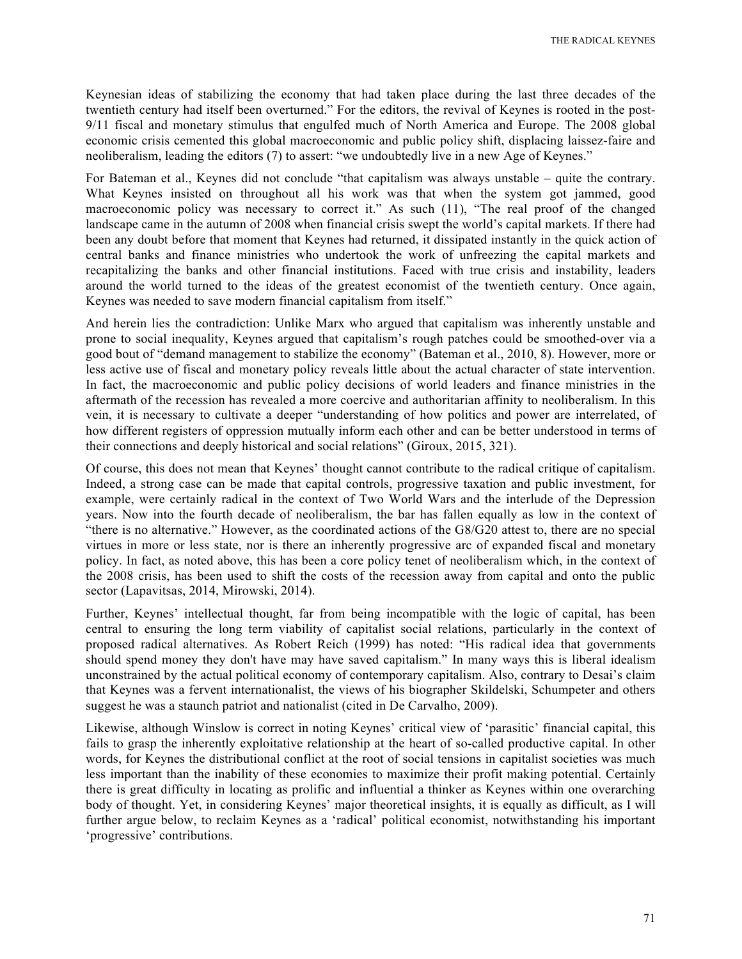Keynesian ideas of stabilizing the economy that had taken place during the last three decades of the twentieth century had itself been overturned." For the editors, the revival of Keynes is rooted in the post-9/11 fiscal and monetary stimulus that engulfed much of North America and Europe. The 2008 global economic crisis cemented this global macroeconomic and public policy shift, displacing laissez-faire and neoliberalism, leading the editors (7) to assert: "we undoubtedly live in a new Age of Keynes."

For Bateman et al., Keynes did not conclude "that capitalism was always unstable – quite the contrary. What Keynes insisted on throughout all his work was that when the system got jammed, good macroeconomic policy was necessary to correct it." As such (11), "The real proof of the changed landscape came in the autumn of 2008 when financial crisis swept the world's capital markets. If there had been any doubt before that moment that Keynes had returned, it dissipated instantly in the quick action of central banks and finance ministries who undertook the work of unfreezing the capital markets and recapitalizing the banks and other financial institutions. Faced with true crisis and instability, leaders around the world turned to the ideas of the greatest economist of the twentieth century. Once again, Keynes was needed to save modern financial capitalism from itself."

And herein lies the contradiction: Unlike Marx who argued that capitalism was inherently unstable and prone to social inequality, Keynes argued that capitalism's rough patches could be smoothed-over via a good bout of "demand management to stabilize the economy" (Bateman et al., 2010, 8). However, more or less active use of fiscal and monetary policy reveals little about the actual character of state intervention. In fact, the macroeconomic and public policy decisions of world leaders and finance ministries in the aftermath of the recession has revealed a more coercive and authoritarian affinity to neoliberalism. In this vein, it is necessary to cultivate a deeper "understanding of how politics and power are interrelated, of how different registers of oppression mutually inform each other and can be better understood in terms of their connections and deeply historical and social relations" (Giroux, 2015, 321).

Of course, this does not mean that Keynes' thought cannot contribute to the radical critique of capitalism. Indeed, a strong case can be made that capital controls, progressive taxation and public investment, for example, were certainly radical in the context of Two World Wars and the interlude of the Depression years. Now into the fourth decade of neoliberalism, the bar has fallen equally as low in the context of "there is no alternative." However, as the coordinated actions of the G8/G20 attest to, there are no special virtues in more or less state, nor is there an inherently progressive arc of expanded fiscal and monetary policy. In fact, as noted above, this has been a core policy tenet of neoliberalism which, in the context of the 2008 crisis, has been used to shift the costs of the recession away from capital and onto the public sector (Lapavitsas, 2014, Mirowski, 2014).

Further, Keynes' intellectual thought, far from being incompatible with the logic of capital, has been central to ensuring the long term viability of capitalist social relations, particularly in the context of proposed radical alternatives. As Robert Reich (1999) has noted: "His radical idea that governments should spend money they don't have may have saved capitalism." In many ways this is liberal idealism unconstrained by the actual political economy of contemporary capitalism. Also, contrary to Desai's claim that Keynes was a fervent internationalist, the views of his biographer Skildelski, Schumpeter and others suggest he was a staunch patriot and nationalist (cited in De Carvalho, 2009).

Likewise, although Winslow is correct in noting Keynes' critical view of 'parasitic' financial capital, this fails to grasp the inherently exploitative relationship at the heart of so-called productive capital. In other words, for Keynes the distributional conflict at the root of social tensions in capitalist societies was much less important than the inability of these economies to maximize their profit making potential. Certainly there is great difficulty in locating as prolific and influential a thinker as Keynes within one overarching body of thought. Yet, in considering Keynes' major theoretical insights, it is equally as difficult, as I will further argue below, to reclaim Keynes as a 'radical' political economist, notwithstanding his important 'progressive' contributions.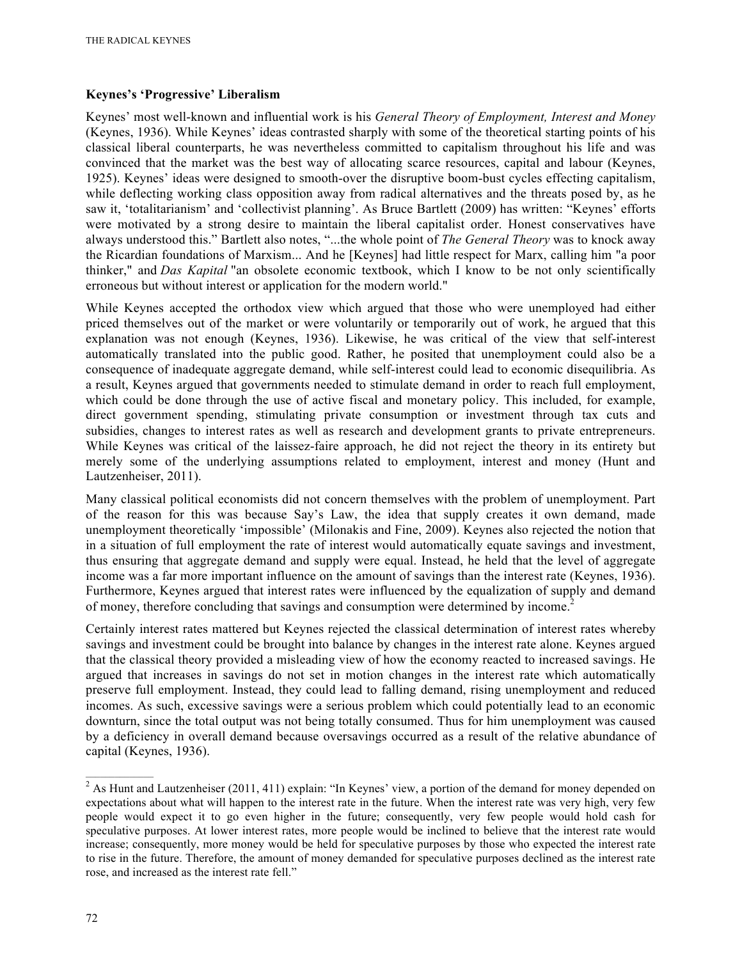## **Keynes's 'Progressive' Liberalism**

Keynes' most well-known and influential work is his *General Theory of Employment, Interest and Money*  (Keynes, 1936). While Keynes' ideas contrasted sharply with some of the theoretical starting points of his classical liberal counterparts, he was nevertheless committed to capitalism throughout his life and was convinced that the market was the best way of allocating scarce resources, capital and labour (Keynes, 1925). Keynes' ideas were designed to smooth-over the disruptive boom-bust cycles effecting capitalism, while deflecting working class opposition away from radical alternatives and the threats posed by, as he saw it, 'totalitarianism' and 'collectivist planning'. As Bruce Bartlett (2009) has written: "Keynes' efforts were motivated by a strong desire to maintain the liberal capitalist order. Honest conservatives have always understood this." Bartlett also notes, "...the whole point of *The General Theory* was to knock away the Ricardian foundations of Marxism... And he [Keynes] had little respect for Marx, calling him "a poor thinker," and *Das Kapital* "an obsolete economic textbook, which I know to be not only scientifically erroneous but without interest or application for the modern world."

While Keynes accepted the orthodox view which argued that those who were unemployed had either priced themselves out of the market or were voluntarily or temporarily out of work, he argued that this explanation was not enough (Keynes, 1936). Likewise, he was critical of the view that self-interest automatically translated into the public good. Rather, he posited that unemployment could also be a consequence of inadequate aggregate demand, while self-interest could lead to economic disequilibria. As a result, Keynes argued that governments needed to stimulate demand in order to reach full employment, which could be done through the use of active fiscal and monetary policy. This included, for example, direct government spending, stimulating private consumption or investment through tax cuts and subsidies, changes to interest rates as well as research and development grants to private entrepreneurs. While Keynes was critical of the laissez-faire approach, he did not reject the theory in its entirety but merely some of the underlying assumptions related to employment, interest and money (Hunt and Lautzenheiser, 2011).

Many classical political economists did not concern themselves with the problem of unemployment. Part of the reason for this was because Say's Law, the idea that supply creates it own demand, made unemployment theoretically 'impossible' (Milonakis and Fine, 2009). Keynes also rejected the notion that in a situation of full employment the rate of interest would automatically equate savings and investment, thus ensuring that aggregate demand and supply were equal. Instead, he held that the level of aggregate income was a far more important influence on the amount of savings than the interest rate (Keynes, 1936). Furthermore, Keynes argued that interest rates were influenced by the equalization of supply and demand of money, therefore concluding that savings and consumption were determined by income.<sup>2</sup>

Certainly interest rates mattered but Keynes rejected the classical determination of interest rates whereby savings and investment could be brought into balance by changes in the interest rate alone. Keynes argued that the classical theory provided a misleading view of how the economy reacted to increased savings. He argued that increases in savings do not set in motion changes in the interest rate which automatically preserve full employment. Instead, they could lead to falling demand, rising unemployment and reduced incomes. As such, excessive savings were a serious problem which could potentially lead to an economic downturn, since the total output was not being totally consumed. Thus for him unemployment was caused by a deficiency in overall demand because oversavings occurred as a result of the relative abundance of capital (Keynes, 1936).

 $\frac{1}{2}$  As Hunt and Lautzenheiser (2011, 411) explain: "In Keynes' view, a portion of the demand for money depended on expectations about what will happen to the interest rate in the future. When the interest rate was very high, very few people would expect it to go even higher in the future; consequently, very few people would hold cash for speculative purposes. At lower interest rates, more people would be inclined to believe that the interest rate would increase; consequently, more money would be held for speculative purposes by those who expected the interest rate to rise in the future. Therefore, the amount of money demanded for speculative purposes declined as the interest rate rose, and increased as the interest rate fell."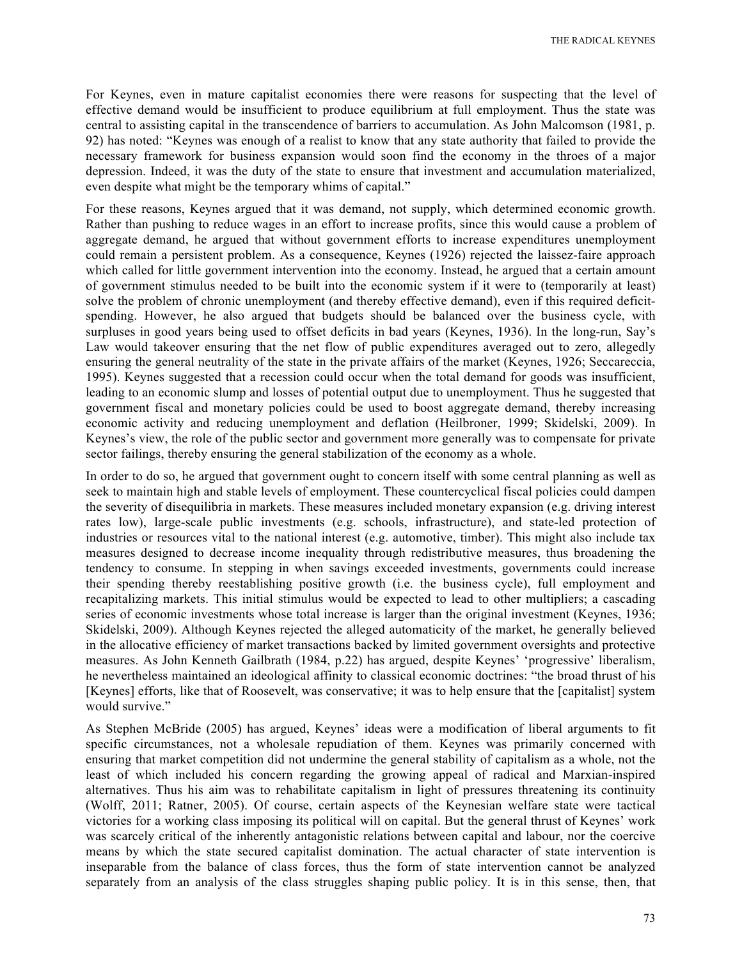THE RADICAL KEYNES

For Keynes, even in mature capitalist economies there were reasons for suspecting that the level of effective demand would be insufficient to produce equilibrium at full employment. Thus the state was central to assisting capital in the transcendence of barriers to accumulation. As John Malcomson (1981, p. 92) has noted: "Keynes was enough of a realist to know that any state authority that failed to provide the necessary framework for business expansion would soon find the economy in the throes of a major depression. Indeed, it was the duty of the state to ensure that investment and accumulation materialized, even despite what might be the temporary whims of capital."

For these reasons, Keynes argued that it was demand, not supply, which determined economic growth. Rather than pushing to reduce wages in an effort to increase profits, since this would cause a problem of aggregate demand, he argued that without government efforts to increase expenditures unemployment could remain a persistent problem. As a consequence, Keynes (1926) rejected the laissez-faire approach which called for little government intervention into the economy. Instead, he argued that a certain amount of government stimulus needed to be built into the economic system if it were to (temporarily at least) solve the problem of chronic unemployment (and thereby effective demand), even if this required deficitspending. However, he also argued that budgets should be balanced over the business cycle, with surpluses in good years being used to offset deficits in bad years (Keynes, 1936). In the long-run, Say's Law would takeover ensuring that the net flow of public expenditures averaged out to zero, allegedly ensuring the general neutrality of the state in the private affairs of the market (Keynes, 1926; Seccareccia, 1995). Keynes suggested that a recession could occur when the total demand for goods was insufficient, leading to an economic slump and losses of potential output due to unemployment. Thus he suggested that government fiscal and monetary policies could be used to boost aggregate demand, thereby increasing economic activity and reducing unemployment and deflation (Heilbroner, 1999; Skidelski, 2009). In Keynes's view, the role of the public sector and government more generally was to compensate for private sector failings, thereby ensuring the general stabilization of the economy as a whole.

In order to do so, he argued that government ought to concern itself with some central planning as well as seek to maintain high and stable levels of employment. These countercyclical fiscal policies could dampen the severity of disequilibria in markets. These measures included monetary expansion (e.g. driving interest rates low), large-scale public investments (e.g. schools, infrastructure), and state-led protection of industries or resources vital to the national interest (e.g. automotive, timber). This might also include tax measures designed to decrease income inequality through redistributive measures, thus broadening the tendency to consume. In stepping in when savings exceeded investments, governments could increase their spending thereby reestablishing positive growth (i.e. the business cycle), full employment and recapitalizing markets. This initial stimulus would be expected to lead to other multipliers; a cascading series of economic investments whose total increase is larger than the original investment (Keynes, 1936; Skidelski, 2009). Although Keynes rejected the alleged automaticity of the market, he generally believed in the allocative efficiency of market transactions backed by limited government oversights and protective measures. As John Kenneth Gailbrath (1984, p.22) has argued, despite Keynes' 'progressive' liberalism, he nevertheless maintained an ideological affinity to classical economic doctrines: "the broad thrust of his [Keynes] efforts, like that of Roosevelt, was conservative; it was to help ensure that the [capitalist] system would survive."

As Stephen McBride (2005) has argued, Keynes' ideas were a modification of liberal arguments to fit specific circumstances, not a wholesale repudiation of them. Keynes was primarily concerned with ensuring that market competition did not undermine the general stability of capitalism as a whole, not the least of which included his concern regarding the growing appeal of radical and Marxian-inspired alternatives. Thus his aim was to rehabilitate capitalism in light of pressures threatening its continuity (Wolff, 2011; Ratner, 2005). Of course, certain aspects of the Keynesian welfare state were tactical victories for a working class imposing its political will on capital. But the general thrust of Keynes' work was scarcely critical of the inherently antagonistic relations between capital and labour, nor the coercive means by which the state secured capitalist domination. The actual character of state intervention is inseparable from the balance of class forces, thus the form of state intervention cannot be analyzed separately from an analysis of the class struggles shaping public policy. It is in this sense, then, that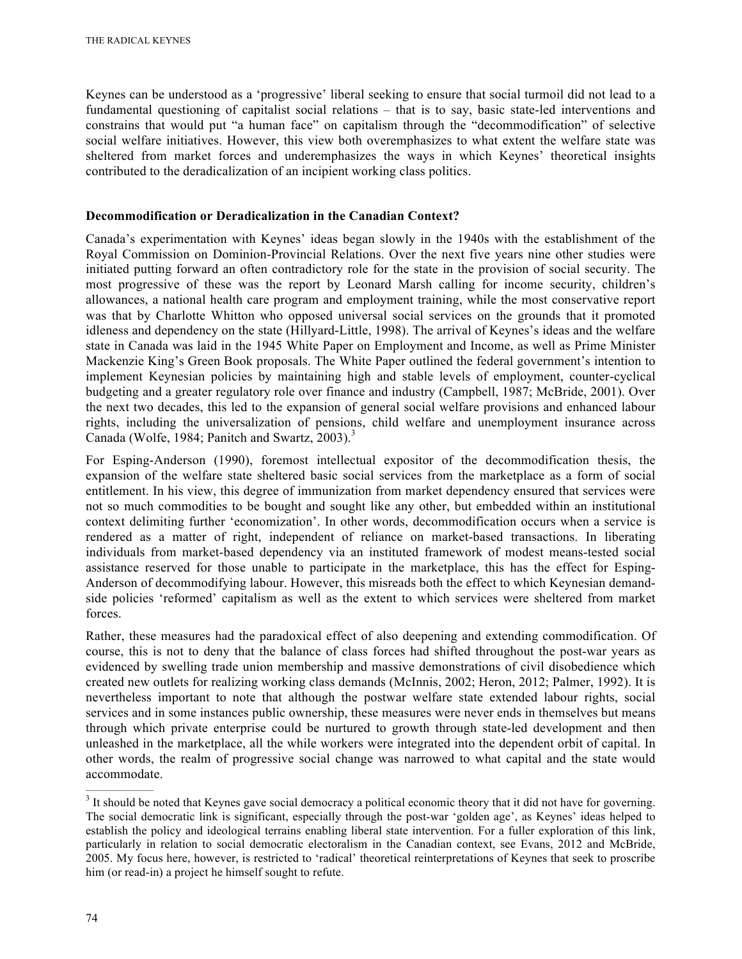Keynes can be understood as a 'progressive' liberal seeking to ensure that social turmoil did not lead to a fundamental questioning of capitalist social relations – that is to say, basic state-led interventions and constrains that would put "a human face" on capitalism through the "decommodification" of selective social welfare initiatives. However, this view both overemphasizes to what extent the welfare state was sheltered from market forces and underemphasizes the ways in which Keynes' theoretical insights contributed to the deradicalization of an incipient working class politics.

### **Decommodification or Deradicalization in the Canadian Context?**

Canada's experimentation with Keynes' ideas began slowly in the 1940s with the establishment of the Royal Commission on Dominion-Provincial Relations. Over the next five years nine other studies were initiated putting forward an often contradictory role for the state in the provision of social security. The most progressive of these was the report by Leonard Marsh calling for income security, children's allowances, a national health care program and employment training, while the most conservative report was that by Charlotte Whitton who opposed universal social services on the grounds that it promoted idleness and dependency on the state (Hillyard-Little, 1998). The arrival of Keynes's ideas and the welfare state in Canada was laid in the 1945 White Paper on Employment and Income, as well as Prime Minister Mackenzie King's Green Book proposals. The White Paper outlined the federal government's intention to implement Keynesian policies by maintaining high and stable levels of employment, counter-cyclical budgeting and a greater regulatory role over finance and industry (Campbell, 1987; McBride, 2001). Over the next two decades, this led to the expansion of general social welfare provisions and enhanced labour rights, including the universalization of pensions, child welfare and unemployment insurance across Canada (Wolfe, 1984; Panitch and Swartz, 2003).<sup>3</sup>

For Esping-Anderson (1990), foremost intellectual expositor of the decommodification thesis, the expansion of the welfare state sheltered basic social services from the marketplace as a form of social entitlement. In his view, this degree of immunization from market dependency ensured that services were not so much commodities to be bought and sought like any other, but embedded within an institutional context delimiting further 'economization'. In other words, decommodification occurs when a service is rendered as a matter of right, independent of reliance on market-based transactions. In liberating individuals from market-based dependency via an instituted framework of modest means-tested social assistance reserved for those unable to participate in the marketplace, this has the effect for Esping-Anderson of decommodifying labour. However, this misreads both the effect to which Keynesian demandside policies 'reformed' capitalism as well as the extent to which services were sheltered from market forces.

Rather, these measures had the paradoxical effect of also deepening and extending commodification. Of course, this is not to deny that the balance of class forces had shifted throughout the post-war years as evidenced by swelling trade union membership and massive demonstrations of civil disobedience which created new outlets for realizing working class demands (McInnis, 2002; Heron, 2012; Palmer, 1992). It is nevertheless important to note that although the postwar welfare state extended labour rights, social services and in some instances public ownership, these measures were never ends in themselves but means through which private enterprise could be nurtured to growth through state-led development and then unleashed in the marketplace, all the while workers were integrated into the dependent orbit of capital. In other words, the realm of progressive social change was narrowed to what capital and the state would accommodate.

<sup>&</sup>lt;sup>3</sup> It should be noted that Keynes gave social democracy a political economic theory that it did not have for governing. The social democratic link is significant, especially through the post-war 'golden age', as Keynes' ideas helped to establish the policy and ideological terrains enabling liberal state intervention. For a fuller exploration of this link, particularly in relation to social democratic electoralism in the Canadian context, see Evans, 2012 and McBride, 2005. My focus here, however, is restricted to 'radical' theoretical reinterpretations of Keynes that seek to proscribe him (or read-in) a project he himself sought to refute.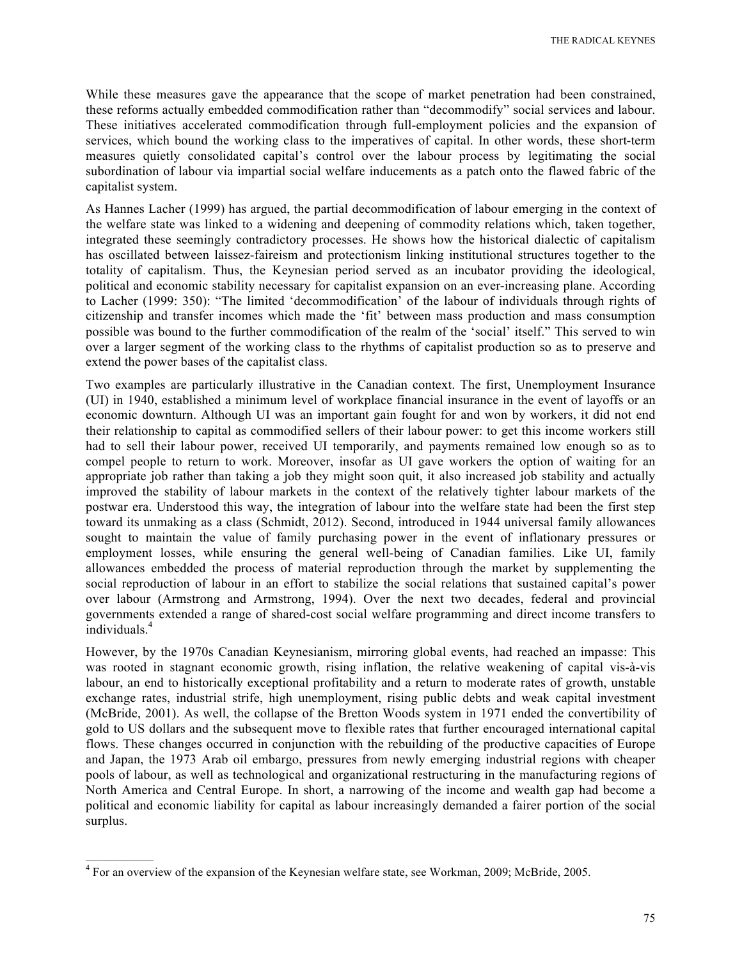While these measures gave the appearance that the scope of market penetration had been constrained, these reforms actually embedded commodification rather than "decommodify" social services and labour. These initiatives accelerated commodification through full-employment policies and the expansion of services, which bound the working class to the imperatives of capital. In other words, these short-term measures quietly consolidated capital's control over the labour process by legitimating the social subordination of labour via impartial social welfare inducements as a patch onto the flawed fabric of the capitalist system.

As Hannes Lacher (1999) has argued, the partial decommodification of labour emerging in the context of the welfare state was linked to a widening and deepening of commodity relations which, taken together, integrated these seemingly contradictory processes. He shows how the historical dialectic of capitalism has oscillated between laissez-faireism and protectionism linking institutional structures together to the totality of capitalism. Thus, the Keynesian period served as an incubator providing the ideological, political and economic stability necessary for capitalist expansion on an ever-increasing plane. According to Lacher (1999: 350): "The limited 'decommodification' of the labour of individuals through rights of citizenship and transfer incomes which made the 'fit' between mass production and mass consumption possible was bound to the further commodification of the realm of the 'social' itself." This served to win over a larger segment of the working class to the rhythms of capitalist production so as to preserve and extend the power bases of the capitalist class.

Two examples are particularly illustrative in the Canadian context. The first, Unemployment Insurance (UI) in 1940, established a minimum level of workplace financial insurance in the event of layoffs or an economic downturn. Although UI was an important gain fought for and won by workers, it did not end their relationship to capital as commodified sellers of their labour power: to get this income workers still had to sell their labour power, received UI temporarily, and payments remained low enough so as to compel people to return to work. Moreover, insofar as UI gave workers the option of waiting for an appropriate job rather than taking a job they might soon quit, it also increased job stability and actually improved the stability of labour markets in the context of the relatively tighter labour markets of the postwar era. Understood this way, the integration of labour into the welfare state had been the first step toward its unmaking as a class (Schmidt, 2012). Second, introduced in 1944 universal family allowances sought to maintain the value of family purchasing power in the event of inflationary pressures or employment losses, while ensuring the general well-being of Canadian families. Like UI, family allowances embedded the process of material reproduction through the market by supplementing the social reproduction of labour in an effort to stabilize the social relations that sustained capital's power over labour (Armstrong and Armstrong, 1994). Over the next two decades, federal and provincial governments extended a range of shared-cost social welfare programming and direct income transfers to individuals.<sup>4</sup>

However, by the 1970s Canadian Keynesianism, mirroring global events, had reached an impasse: This was rooted in stagnant economic growth, rising inflation, the relative weakening of capital vis-à-vis labour, an end to historically exceptional profitability and a return to moderate rates of growth, unstable exchange rates, industrial strife, high unemployment, rising public debts and weak capital investment (McBride, 2001). As well, the collapse of the Bretton Woods system in 1971 ended the convertibility of gold to US dollars and the subsequent move to flexible rates that further encouraged international capital flows. These changes occurred in conjunction with the rebuilding of the productive capacities of Europe and Japan, the 1973 Arab oil embargo, pressures from newly emerging industrial regions with cheaper pools of labour, as well as technological and organizational restructuring in the manufacturing regions of North America and Central Europe. In short, a narrowing of the income and wealth gap had become a political and economic liability for capital as labour increasingly demanded a fairer portion of the social surplus.

 $\frac{4}{100}$  For an overview of the expansion of the Keynesian welfare state, see Workman, 2009; McBride, 2005.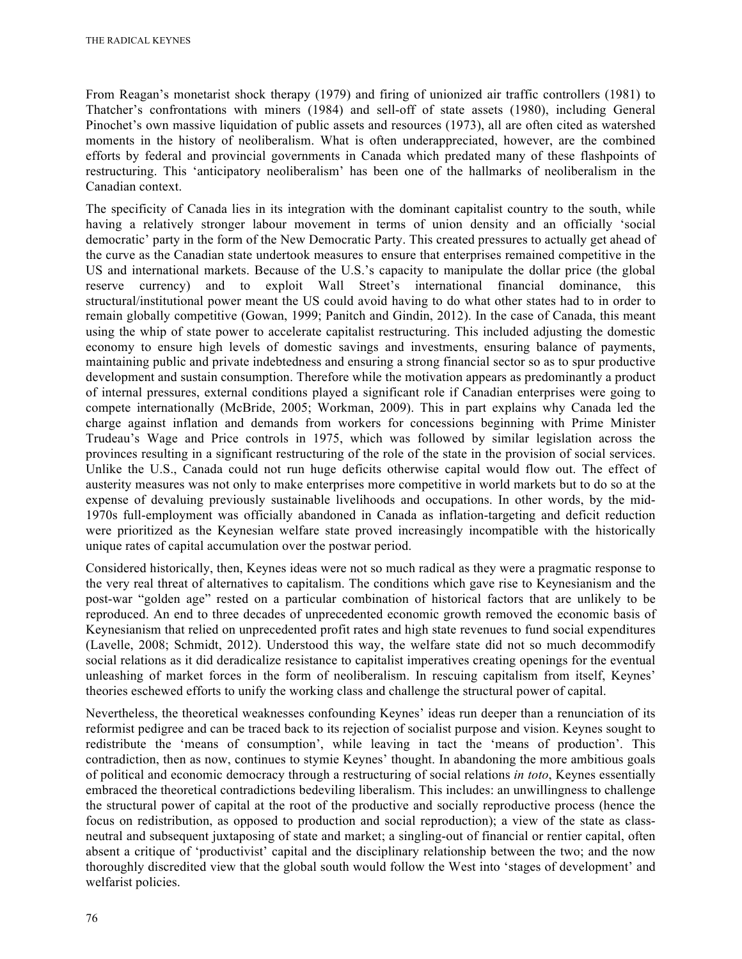From Reagan's monetarist shock therapy (1979) and firing of unionized air traffic controllers (1981) to Thatcher's confrontations with miners (1984) and sell-off of state assets (1980), including General Pinochet's own massive liquidation of public assets and resources (1973), all are often cited as watershed moments in the history of neoliberalism. What is often underappreciated, however, are the combined efforts by federal and provincial governments in Canada which predated many of these flashpoints of restructuring. This 'anticipatory neoliberalism' has been one of the hallmarks of neoliberalism in the Canadian context.

The specificity of Canada lies in its integration with the dominant capitalist country to the south, while having a relatively stronger labour movement in terms of union density and an officially 'social democratic' party in the form of the New Democratic Party. This created pressures to actually get ahead of the curve as the Canadian state undertook measures to ensure that enterprises remained competitive in the US and international markets. Because of the U.S.'s capacity to manipulate the dollar price (the global reserve currency) and to exploit Wall Street's international financial dominance, this structural/institutional power meant the US could avoid having to do what other states had to in order to remain globally competitive (Gowan, 1999; Panitch and Gindin, 2012). In the case of Canada, this meant using the whip of state power to accelerate capitalist restructuring. This included adjusting the domestic economy to ensure high levels of domestic savings and investments, ensuring balance of payments, maintaining public and private indebtedness and ensuring a strong financial sector so as to spur productive development and sustain consumption. Therefore while the motivation appears as predominantly a product of internal pressures, external conditions played a significant role if Canadian enterprises were going to compete internationally (McBride, 2005; Workman, 2009). This in part explains why Canada led the charge against inflation and demands from workers for concessions beginning with Prime Minister Trudeau's Wage and Price controls in 1975, which was followed by similar legislation across the provinces resulting in a significant restructuring of the role of the state in the provision of social services. Unlike the U.S., Canada could not run huge deficits otherwise capital would flow out. The effect of austerity measures was not only to make enterprises more competitive in world markets but to do so at the expense of devaluing previously sustainable livelihoods and occupations. In other words, by the mid-1970s full-employment was officially abandoned in Canada as inflation-targeting and deficit reduction were prioritized as the Keynesian welfare state proved increasingly incompatible with the historically unique rates of capital accumulation over the postwar period.

Considered historically, then, Keynes ideas were not so much radical as they were a pragmatic response to the very real threat of alternatives to capitalism. The conditions which gave rise to Keynesianism and the post-war "golden age" rested on a particular combination of historical factors that are unlikely to be reproduced. An end to three decades of unprecedented economic growth removed the economic basis of Keynesianism that relied on unprecedented profit rates and high state revenues to fund social expenditures (Lavelle, 2008; Schmidt, 2012). Understood this way, the welfare state did not so much decommodify social relations as it did deradicalize resistance to capitalist imperatives creating openings for the eventual unleashing of market forces in the form of neoliberalism. In rescuing capitalism from itself, Keynes' theories eschewed efforts to unify the working class and challenge the structural power of capital.

Nevertheless, the theoretical weaknesses confounding Keynes' ideas run deeper than a renunciation of its reformist pedigree and can be traced back to its rejection of socialist purpose and vision. Keynes sought to redistribute the 'means of consumption', while leaving in tact the 'means of production'. This contradiction, then as now, continues to stymie Keynes' thought. In abandoning the more ambitious goals of political and economic democracy through a restructuring of social relations *in toto*, Keynes essentially embraced the theoretical contradictions bedeviling liberalism. This includes: an unwillingness to challenge the structural power of capital at the root of the productive and socially reproductive process (hence the focus on redistribution, as opposed to production and social reproduction); a view of the state as classneutral and subsequent juxtaposing of state and market; a singling-out of financial or rentier capital, often absent a critique of 'productivist' capital and the disciplinary relationship between the two; and the now thoroughly discredited view that the global south would follow the West into 'stages of development' and welfarist policies.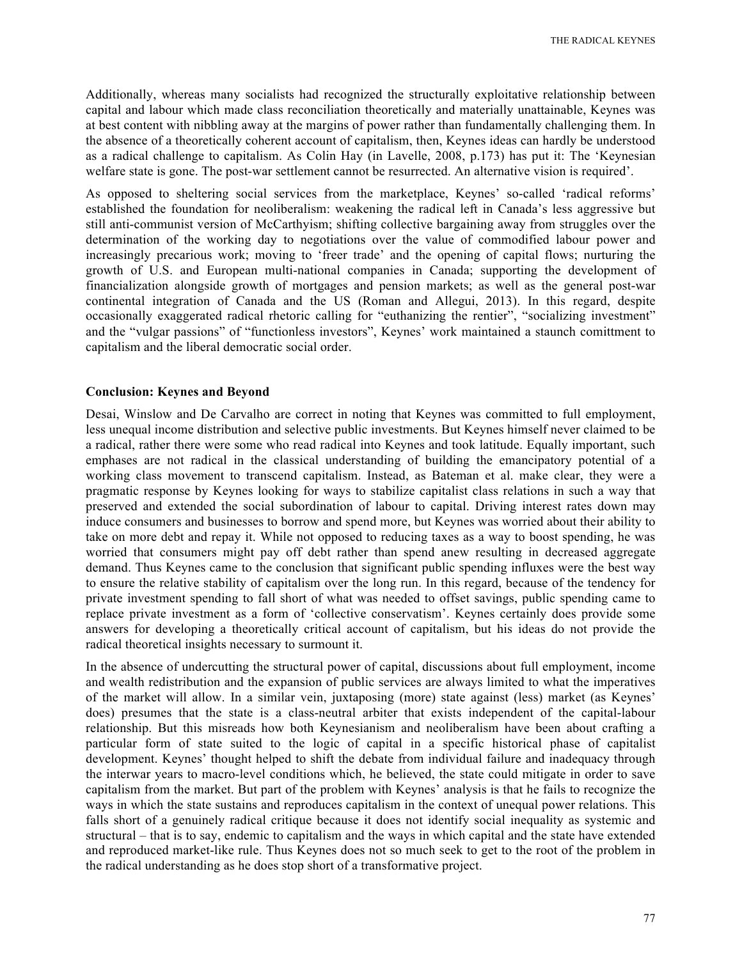Additionally, whereas many socialists had recognized the structurally exploitative relationship between capital and labour which made class reconciliation theoretically and materially unattainable, Keynes was at best content with nibbling away at the margins of power rather than fundamentally challenging them. In the absence of a theoretically coherent account of capitalism, then, Keynes ideas can hardly be understood as a radical challenge to capitalism. As Colin Hay (in Lavelle, 2008, p.173) has put it: The 'Keynesian welfare state is gone. The post-war settlement cannot be resurrected. An alternative vision is required'.

As opposed to sheltering social services from the marketplace, Keynes' so-called 'radical reforms' established the foundation for neoliberalism: weakening the radical left in Canada's less aggressive but still anti-communist version of McCarthyism; shifting collective bargaining away from struggles over the determination of the working day to negotiations over the value of commodified labour power and increasingly precarious work; moving to 'freer trade' and the opening of capital flows; nurturing the growth of U.S. and European multi-national companies in Canada; supporting the development of financialization alongside growth of mortgages and pension markets; as well as the general post-war continental integration of Canada and the US (Roman and Allegui, 2013). In this regard, despite occasionally exaggerated radical rhetoric calling for "euthanizing the rentier", "socializing investment" and the "vulgar passions" of "functionless investors", Keynes' work maintained a staunch comittment to capitalism and the liberal democratic social order.

#### **Conclusion: Keynes and Beyond**

Desai, Winslow and De Carvalho are correct in noting that Keynes was committed to full employment, less unequal income distribution and selective public investments. But Keynes himself never claimed to be a radical, rather there were some who read radical into Keynes and took latitude. Equally important, such emphases are not radical in the classical understanding of building the emancipatory potential of a working class movement to transcend capitalism. Instead, as Bateman et al. make clear, they were a pragmatic response by Keynes looking for ways to stabilize capitalist class relations in such a way that preserved and extended the social subordination of labour to capital. Driving interest rates down may induce consumers and businesses to borrow and spend more, but Keynes was worried about their ability to take on more debt and repay it. While not opposed to reducing taxes as a way to boost spending, he was worried that consumers might pay off debt rather than spend anew resulting in decreased aggregate demand. Thus Keynes came to the conclusion that significant public spending influxes were the best way to ensure the relative stability of capitalism over the long run. In this regard, because of the tendency for private investment spending to fall short of what was needed to offset savings, public spending came to replace private investment as a form of 'collective conservatism'. Keynes certainly does provide some answers for developing a theoretically critical account of capitalism, but his ideas do not provide the radical theoretical insights necessary to surmount it.

In the absence of undercutting the structural power of capital, discussions about full employment, income and wealth redistribution and the expansion of public services are always limited to what the imperatives of the market will allow. In a similar vein, juxtaposing (more) state against (less) market (as Keynes' does) presumes that the state is a class-neutral arbiter that exists independent of the capital-labour relationship. But this misreads how both Keynesianism and neoliberalism have been about crafting a particular form of state suited to the logic of capital in a specific historical phase of capitalist development. Keynes' thought helped to shift the debate from individual failure and inadequacy through the interwar years to macro-level conditions which, he believed, the state could mitigate in order to save capitalism from the market. But part of the problem with Keynes' analysis is that he fails to recognize the ways in which the state sustains and reproduces capitalism in the context of unequal power relations. This falls short of a genuinely radical critique because it does not identify social inequality as systemic and structural – that is to say, endemic to capitalism and the ways in which capital and the state have extended and reproduced market-like rule. Thus Keynes does not so much seek to get to the root of the problem in the radical understanding as he does stop short of a transformative project.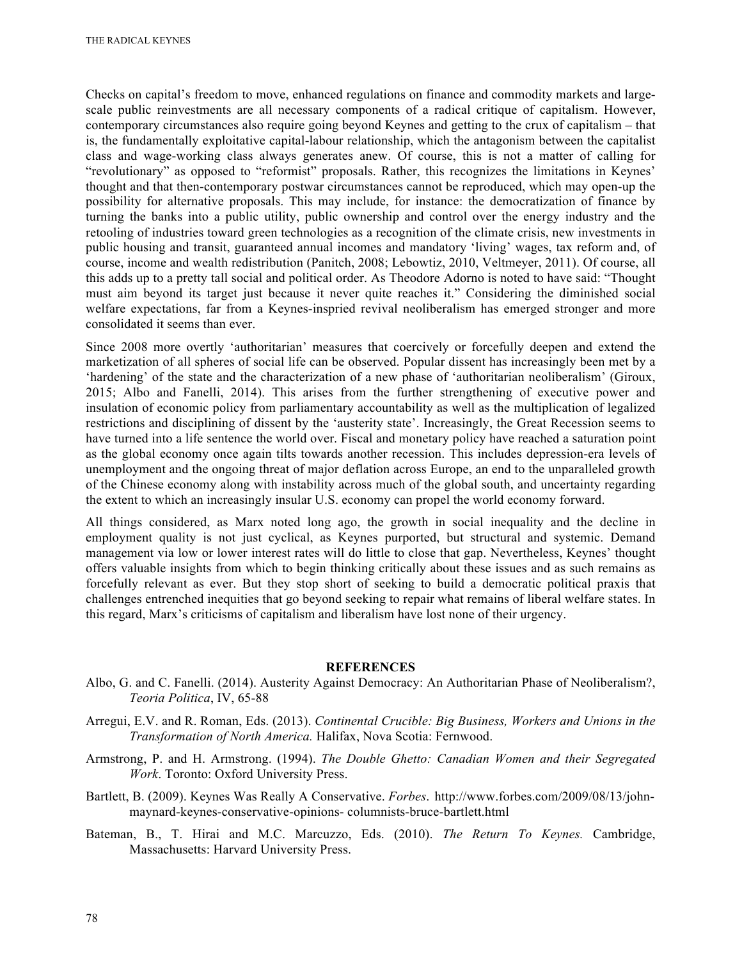Checks on capital's freedom to move, enhanced regulations on finance and commodity markets and largescale public reinvestments are all necessary components of a radical critique of capitalism. However, contemporary circumstances also require going beyond Keynes and getting to the crux of capitalism – that is, the fundamentally exploitative capital-labour relationship, which the antagonism between the capitalist class and wage-working class always generates anew. Of course, this is not a matter of calling for "revolutionary" as opposed to "reformist" proposals. Rather, this recognizes the limitations in Keynes' thought and that then-contemporary postwar circumstances cannot be reproduced, which may open-up the possibility for alternative proposals. This may include, for instance: the democratization of finance by turning the banks into a public utility, public ownership and control over the energy industry and the retooling of industries toward green technologies as a recognition of the climate crisis, new investments in public housing and transit, guaranteed annual incomes and mandatory 'living' wages, tax reform and, of course, income and wealth redistribution (Panitch, 2008; Lebowtiz, 2010, Veltmeyer, 2011). Of course, all this adds up to a pretty tall social and political order. As Theodore Adorno is noted to have said: "Thought must aim beyond its target just because it never quite reaches it." Considering the diminished social welfare expectations, far from a Keynes-inspried revival neoliberalism has emerged stronger and more consolidated it seems than ever.

Since 2008 more overtly 'authoritarian' measures that coercively or forcefully deepen and extend the marketization of all spheres of social life can be observed. Popular dissent has increasingly been met by a 'hardening' of the state and the characterization of a new phase of 'authoritarian neoliberalism' (Giroux, 2015; Albo and Fanelli, 2014). This arises from the further strengthening of executive power and insulation of economic policy from parliamentary accountability as well as the multiplication of legalized restrictions and disciplining of dissent by the 'austerity state'. Increasingly, the Great Recession seems to have turned into a life sentence the world over. Fiscal and monetary policy have reached a saturation point as the global economy once again tilts towards another recession. This includes depression-era levels of unemployment and the ongoing threat of major deflation across Europe, an end to the unparalleled growth of the Chinese economy along with instability across much of the global south, and uncertainty regarding the extent to which an increasingly insular U.S. economy can propel the world economy forward.

All things considered, as Marx noted long ago, the growth in social inequality and the decline in employment quality is not just cyclical, as Keynes purported, but structural and systemic. Demand management via low or lower interest rates will do little to close that gap. Nevertheless, Keynes' thought offers valuable insights from which to begin thinking critically about these issues and as such remains as forcefully relevant as ever. But they stop short of seeking to build a democratic political praxis that challenges entrenched inequities that go beyond seeking to repair what remains of liberal welfare states. In this regard, Marx's criticisms of capitalism and liberalism have lost none of their urgency.

#### **REFERENCES**

- Albo, G. and C. Fanelli. (2014). Austerity Against Democracy: An Authoritarian Phase of Neoliberalism?, *Teoria Politica*, IV, 65-88
- Arregui, E.V. and R. Roman, Eds. (2013). *Continental Crucible: Big Business, Workers and Unions in the Transformation of North America.* Halifax, Nova Scotia: Fernwood.
- Armstrong, P. and H. Armstrong. (1994). *The Double Ghetto: Canadian Women and their Segregated Work*. Toronto: Oxford University Press.
- Bartlett, B. (2009). Keynes Was Really A Conservative. *Forbes*. http://www.forbes.com/2009/08/13/johnmaynard-keynes-conservative-opinions- columnists-bruce-bartlett.html
- Bateman, B., T. Hirai and M.C. Marcuzzo, Eds. (2010). *The Return To Keynes.* Cambridge, Massachusetts: Harvard University Press.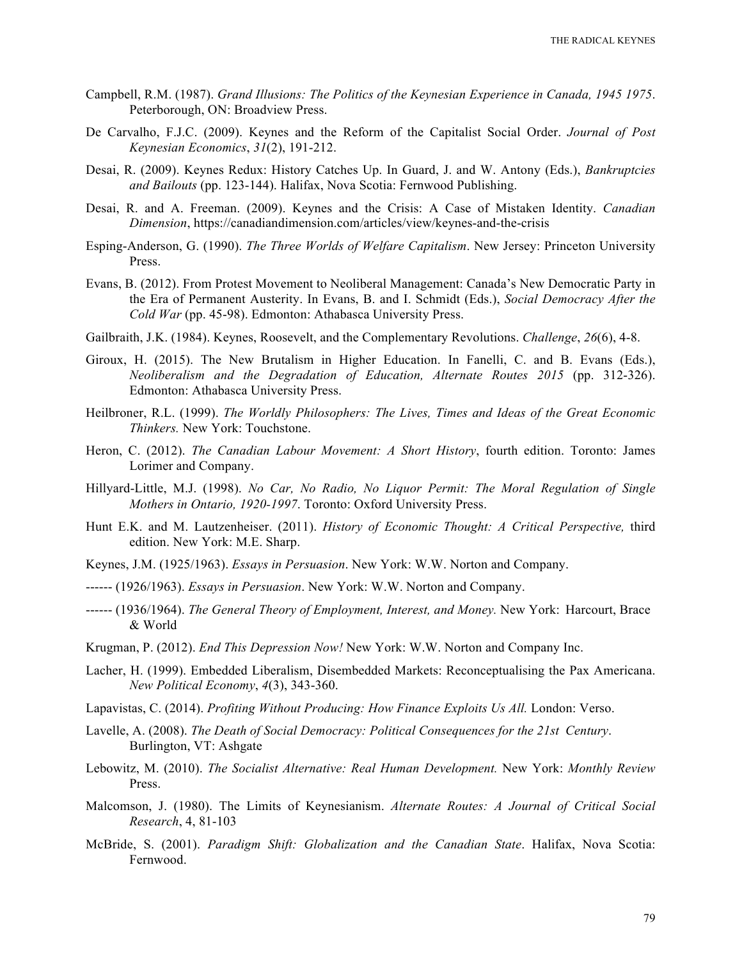- Campbell, R.M. (1987). *Grand Illusions: The Politics of the Keynesian Experience in Canada, 1945 1975*. Peterborough, ON: Broadview Press.
- De Carvalho, F.J.C. (2009). Keynes and the Reform of the Capitalist Social Order. *Journal of Post Keynesian Economics*, *31*(2), 191-212.
- Desai, R. (2009). Keynes Redux: History Catches Up. In Guard, J. and W. Antony (Eds.), *Bankruptcies and Bailouts* (pp. 123-144). Halifax, Nova Scotia: Fernwood Publishing.
- Desai, R. and A. Freeman. (2009). Keynes and the Crisis: A Case of Mistaken Identity. *Canadian Dimension*, https://canadiandimension.com/articles/view/keynes-and-the-crisis
- Esping-Anderson, G. (1990). *The Three Worlds of Welfare Capitalism*. New Jersey: Princeton University Press.
- Evans, B. (2012). From Protest Movement to Neoliberal Management: Canada's New Democratic Party in the Era of Permanent Austerity. In Evans, B. and I. Schmidt (Eds.), *Social Democracy After the Cold War* (pp. 45-98). Edmonton: Athabasca University Press.
- Gailbraith, J.K. (1984). Keynes, Roosevelt, and the Complementary Revolutions. *Challenge*, *26*(6), 4-8.
- Giroux, H. (2015). The New Brutalism in Higher Education. In Fanelli, C. and B. Evans (Eds.), *Neoliberalism and the Degradation of Education, Alternate Routes 2015* (pp. 312-326). Edmonton: Athabasca University Press.
- Heilbroner, R.L. (1999). *The Worldly Philosophers: The Lives, Times and Ideas of the Great Economic Thinkers.* New York: Touchstone.
- Heron, C. (2012). *The Canadian Labour Movement: A Short History*, fourth edition. Toronto: James Lorimer and Company.
- Hillyard-Little, M.J. (1998). *No Car, No Radio, No Liquor Permit: The Moral Regulation of Single Mothers in Ontario, 1920-1997*. Toronto: Oxford University Press.
- Hunt E.K. and M. Lautzenheiser. (2011). *History of Economic Thought: A Critical Perspective,* third edition. New York: M.E. Sharp.
- Keynes, J.M. (1925/1963). *Essays in Persuasion*. New York: W.W. Norton and Company.
- ------ (1926/1963). *Essays in Persuasion*. New York: W.W. Norton and Company.
- ------ (1936/1964). *The General Theory of Employment, Interest, and Money.* New York: Harcourt, Brace & World
- Krugman, P. (2012). *End This Depression Now!* New York: W.W. Norton and Company Inc.
- Lacher, H. (1999). Embedded Liberalism, Disembedded Markets: Reconceptualising the Pax Americana. *New Political Economy*, *4*(3), 343-360.
- Lapavistas, C. (2014). *Profiting Without Producing: How Finance Exploits Us All.* London: Verso.
- Lavelle, A. (2008). *The Death of Social Democracy: Political Consequences for the 21st Century*. Burlington, VT: Ashgate
- Lebowitz, M. (2010). *The Socialist Alternative: Real Human Development.* New York: *Monthly Review* Press.
- Malcomson, J. (1980). The Limits of Keynesianism. *Alternate Routes: A Journal of Critical Social Research*, 4, 81-103
- McBride, S. (2001). *Paradigm Shift: Globalization and the Canadian State*. Halifax, Nova Scotia: Fernwood.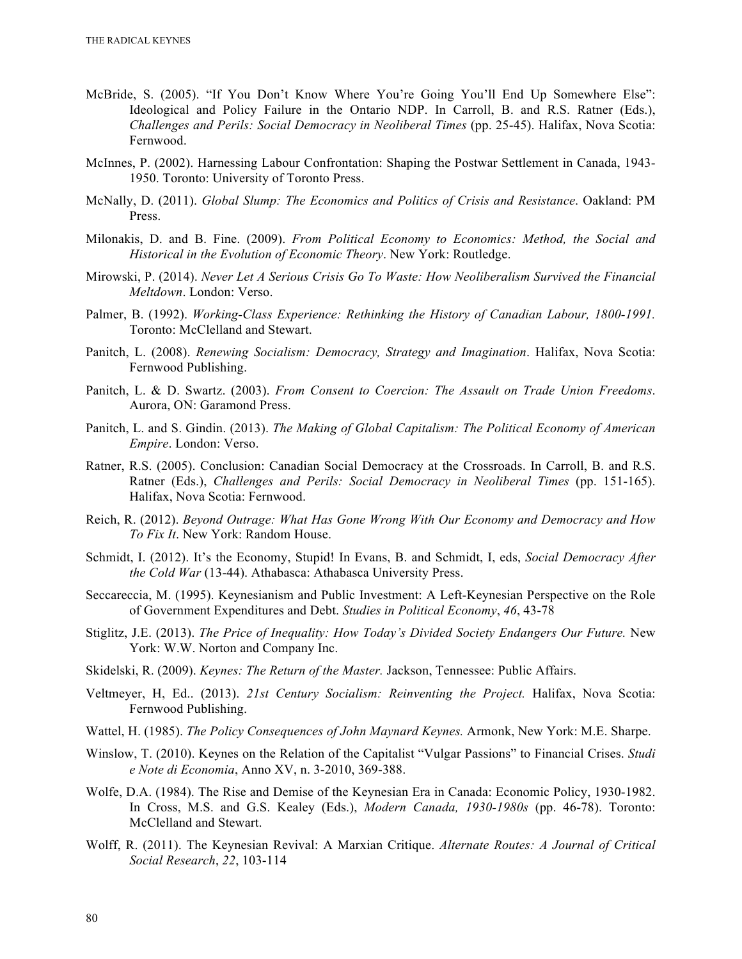- McBride, S. (2005). "If You Don't Know Where You're Going You'll End Up Somewhere Else": Ideological and Policy Failure in the Ontario NDP. In Carroll, B. and R.S. Ratner (Eds.), *Challenges and Perils: Social Democracy in Neoliberal Times* (pp. 25-45). Halifax, Nova Scotia: Fernwood.
- McInnes, P. (2002). Harnessing Labour Confrontation: Shaping the Postwar Settlement in Canada, 1943- 1950. Toronto: University of Toronto Press.
- McNally, D. (2011). *Global Slump: The Economics and Politics of Crisis and Resistance*. Oakland: PM Press.
- Milonakis, D. and B. Fine. (2009). *From Political Economy to Economics: Method, the Social and Historical in the Evolution of Economic Theory*. New York: Routledge.
- Mirowski, P. (2014). *Never Let A Serious Crisis Go To Waste: How Neoliberalism Survived the Financial Meltdown*. London: Verso.
- Palmer, B. (1992). *Working-Class Experience: Rethinking the History of Canadian Labour, 1800-1991.* Toronto: McClelland and Stewart.
- Panitch, L. (2008). *Renewing Socialism: Democracy, Strategy and Imagination*. Halifax, Nova Scotia: Fernwood Publishing.
- Panitch, L. & D. Swartz. (2003). *From Consent to Coercion: The Assault on Trade Union Freedoms*. Aurora, ON: Garamond Press.
- Panitch, L. and S. Gindin. (2013). *The Making of Global Capitalism: The Political Economy of American Empire*. London: Verso.
- Ratner, R.S. (2005). Conclusion: Canadian Social Democracy at the Crossroads. In Carroll, B. and R.S. Ratner (Eds.), *Challenges and Perils: Social Democracy in Neoliberal Times* (pp. 151-165). Halifax, Nova Scotia: Fernwood.
- Reich, R. (2012). *Beyond Outrage: What Has Gone Wrong With Our Economy and Democracy and How To Fix It*. New York: Random House.
- Schmidt, I. (2012). It's the Economy, Stupid! In Evans, B. and Schmidt, I, eds, *Social Democracy After the Cold War* (13-44). Athabasca: Athabasca University Press.
- Seccareccia, M. (1995). Keynesianism and Public Investment: A Left-Keynesian Perspective on the Role of Government Expenditures and Debt. *Studies in Political Economy*, *46*, 43-78
- Stiglitz, J.E. (2013). *The Price of Inequality: How Today's Divided Society Endangers Our Future.* New York: W.W. Norton and Company Inc.
- Skidelski, R. (2009). *Keynes: The Return of the Master.* Jackson, Tennessee: Public Affairs.
- Veltmeyer, H, Ed.. (2013). *21st Century Socialism: Reinventing the Project.* Halifax, Nova Scotia: Fernwood Publishing.
- Wattel, H. (1985). *The Policy Consequences of John Maynard Keynes.* Armonk, New York: M.E. Sharpe.
- Winslow, T. (2010). Keynes on the Relation of the Capitalist "Vulgar Passions" to Financial Crises. *Studi e Note di Economia*, Anno XV, n. 3-2010, 369-388.
- Wolfe, D.A. (1984). The Rise and Demise of the Keynesian Era in Canada: Economic Policy, 1930-1982. In Cross, M.S. and G.S. Kealey (Eds.), *Modern Canada, 1930-1980s* (pp. 46-78). Toronto: McClelland and Stewart.
- Wolff, R. (2011). The Keynesian Revival: A Marxian Critique. *Alternate Routes: A Journal of Critical Social Research*, *22*, 103-114